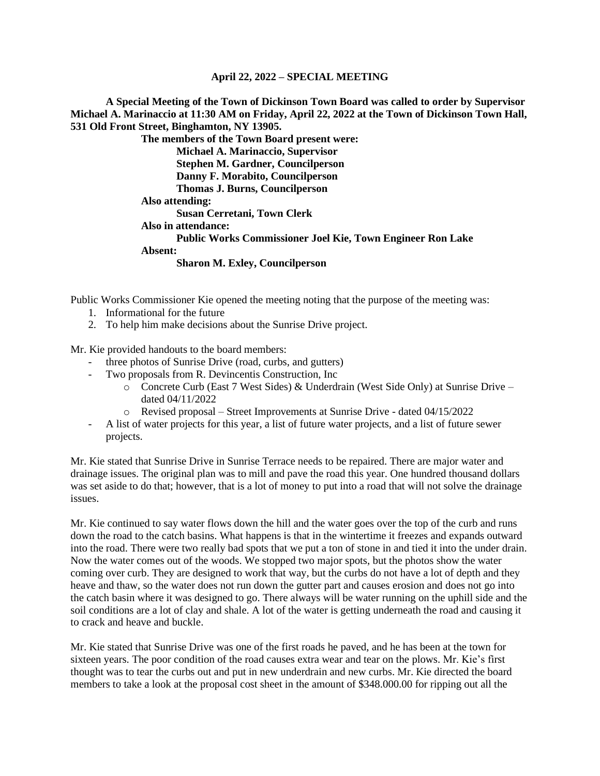**A Special Meeting of the Town of Dickinson Town Board was called to order by Supervisor Michael A. Marinaccio at 11:30 AM on Friday, April 22, 2022 at the Town of Dickinson Town Hall, 531 Old Front Street, Binghamton, NY 13905.**

> **The members of the Town Board present were: Michael A. Marinaccio, Supervisor Stephen M. Gardner, Councilperson Danny F. Morabito, Councilperson Thomas J. Burns, Councilperson Also attending: Susan Cerretani, Town Clerk Also in attendance: Public Works Commissioner Joel Kie, Town Engineer Ron Lake Absent: Sharon M. Exley, Councilperson**

Public Works Commissioner Kie opened the meeting noting that the purpose of the meeting was:

- 1. Informational for the future
- 2. To help him make decisions about the Sunrise Drive project.

Mr. Kie provided handouts to the board members:

- three photos of Sunrise Drive (road, curbs, and gutters)
- Two proposals from R. Devincentis Construction, Inc
	- $\circ$  Concrete Curb (East 7 West Sides) & Underdrain (West Side Only) at Sunrise Drive dated 04/11/2022
	- o Revised proposal Street Improvements at Sunrise Drive dated 04/15/2022
- A list of water projects for this year, a list of future water projects, and a list of future sewer projects.

Mr. Kie stated that Sunrise Drive in Sunrise Terrace needs to be repaired. There are major water and drainage issues. The original plan was to mill and pave the road this year. One hundred thousand dollars was set aside to do that; however, that is a lot of money to put into a road that will not solve the drainage issues.

Mr. Kie continued to say water flows down the hill and the water goes over the top of the curb and runs down the road to the catch basins. What happens is that in the wintertime it freezes and expands outward into the road. There were two really bad spots that we put a ton of stone in and tied it into the under drain. Now the water comes out of the woods. We stopped two major spots, but the photos show the water coming over curb. They are designed to work that way, but the curbs do not have a lot of depth and they heave and thaw, so the water does not run down the gutter part and causes erosion and does not go into the catch basin where it was designed to go. There always will be water running on the uphill side and the soil conditions are a lot of clay and shale. A lot of the water is getting underneath the road and causing it to crack and heave and buckle.

Mr. Kie stated that Sunrise Drive was one of the first roads he paved, and he has been at the town for sixteen years. The poor condition of the road causes extra wear and tear on the plows. Mr. Kie's first thought was to tear the curbs out and put in new underdrain and new curbs. Mr. Kie directed the board members to take a look at the proposal cost sheet in the amount of \$348.000.00 for ripping out all the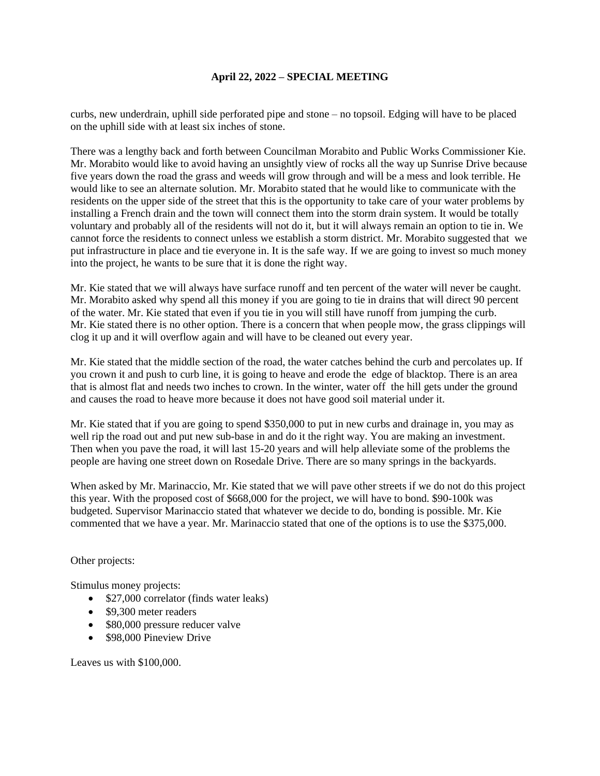curbs, new underdrain, uphill side perforated pipe and stone – no topsoil. Edging will have to be placed on the uphill side with at least six inches of stone.

There was a lengthy back and forth between Councilman Morabito and Public Works Commissioner Kie. Mr. Morabito would like to avoid having an unsightly view of rocks all the way up Sunrise Drive because five years down the road the grass and weeds will grow through and will be a mess and look terrible. He would like to see an alternate solution. Mr. Morabito stated that he would like to communicate with the residents on the upper side of the street that this is the opportunity to take care of your water problems by installing a French drain and the town will connect them into the storm drain system. It would be totally voluntary and probably all of the residents will not do it, but it will always remain an option to tie in. We cannot force the residents to connect unless we establish a storm district. Mr. Morabito suggested that we put infrastructure in place and tie everyone in. It is the safe way. If we are going to invest so much money into the project, he wants to be sure that it is done the right way.

Mr. Kie stated that we will always have surface runoff and ten percent of the water will never be caught. Mr. Morabito asked why spend all this money if you are going to tie in drains that will direct 90 percent of the water. Mr. Kie stated that even if you tie in you will still have runoff from jumping the curb. Mr. Kie stated there is no other option. There is a concern that when people mow, the grass clippings will clog it up and it will overflow again and will have to be cleaned out every year.

Mr. Kie stated that the middle section of the road, the water catches behind the curb and percolates up. If you crown it and push to curb line, it is going to heave and erode the edge of blacktop. There is an area that is almost flat and needs two inches to crown. In the winter, water off the hill gets under the ground and causes the road to heave more because it does not have good soil material under it.

Mr. Kie stated that if you are going to spend \$350,000 to put in new curbs and drainage in, you may as well rip the road out and put new sub-base in and do it the right way. You are making an investment. Then when you pave the road, it will last 15-20 years and will help alleviate some of the problems the people are having one street down on Rosedale Drive. There are so many springs in the backyards.

When asked by Mr. Marinaccio, Mr. Kie stated that we will pave other streets if we do not do this project this year. With the proposed cost of \$668,000 for the project, we will have to bond. \$90-100k was budgeted. Supervisor Marinaccio stated that whatever we decide to do, bonding is possible. Mr. Kie commented that we have a year. Mr. Marinaccio stated that one of the options is to use the \$375,000.

#### Other projects:

Stimulus money projects:

- \$27,000 correlator (finds water leaks)
- \$9,300 meter readers
- \$80,000 pressure reducer valve
- \$98,000 Pineview Drive

Leaves us with \$100,000.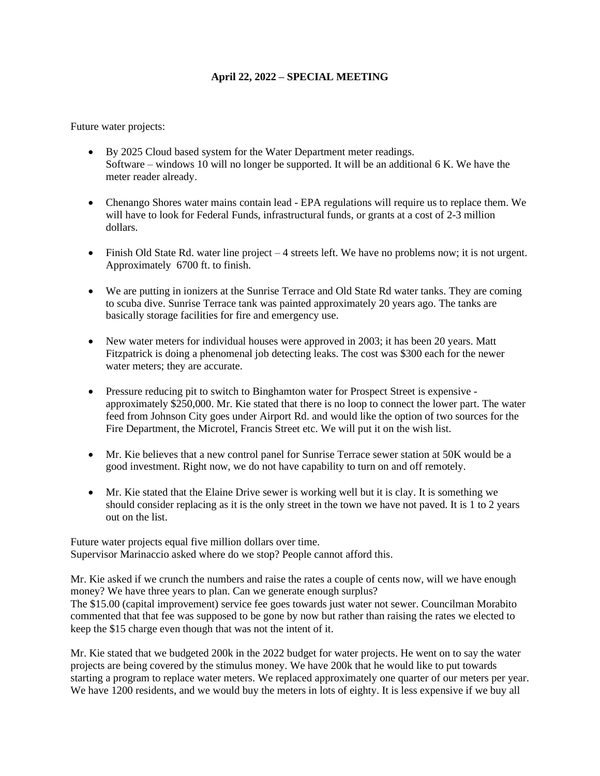Future water projects:

- By 2025 Cloud based system for the Water Department meter readings. Software – windows 10 will no longer be supported. It will be an additional 6 K. We have the meter reader already.
- Chenango Shores water mains contain lead EPA regulations will require us to replace them. We will have to look for Federal Funds, infrastructural funds, or grants at a cost of 2-3 million dollars.
- Finish Old State Rd. water line project 4 streets left. We have no problems now; it is not urgent. Approximately 6700 ft. to finish.
- We are putting in ionizers at the Sunrise Terrace and Old State Rd water tanks. They are coming to scuba dive. Sunrise Terrace tank was painted approximately 20 years ago. The tanks are basically storage facilities for fire and emergency use.
- New water meters for individual houses were approved in 2003; it has been 20 years. Matt Fitzpatrick is doing a phenomenal job detecting leaks. The cost was \$300 each for the newer water meters; they are accurate.
- Pressure reducing pit to switch to Binghamton water for Prospect Street is expensive approximately \$250,000. Mr. Kie stated that there is no loop to connect the lower part. The water feed from Johnson City goes under Airport Rd. and would like the option of two sources for the Fire Department, the Microtel, Francis Street etc. We will put it on the wish list.
- Mr. Kie believes that a new control panel for Sunrise Terrace sewer station at 50K would be a good investment. Right now, we do not have capability to turn on and off remotely.
- Mr. Kie stated that the Elaine Drive sewer is working well but it is clay. It is something we should consider replacing as it is the only street in the town we have not paved. It is 1 to 2 years out on the list.

Future water projects equal five million dollars over time. Supervisor Marinaccio asked where do we stop? People cannot afford this.

Mr. Kie asked if we crunch the numbers and raise the rates a couple of cents now, will we have enough money? We have three years to plan. Can we generate enough surplus?

The \$15.00 (capital improvement) service fee goes towards just water not sewer. Councilman Morabito commented that that fee was supposed to be gone by now but rather than raising the rates we elected to keep the \$15 charge even though that was not the intent of it.

Mr. Kie stated that we budgeted 200k in the 2022 budget for water projects. He went on to say the water projects are being covered by the stimulus money. We have 200k that he would like to put towards starting a program to replace water meters. We replaced approximately one quarter of our meters per year. We have 1200 residents, and we would buy the meters in lots of eighty. It is less expensive if we buy all